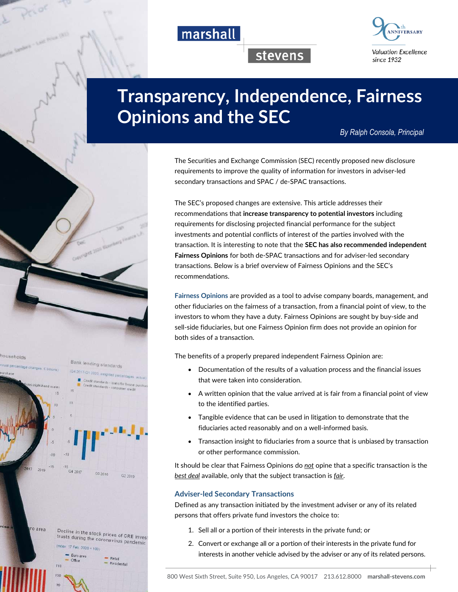



stevens

# **Transparency, Independence, Fairness Opinions and the SEC**

*By Ralph Consola, Principal* 

The Securities and Exchange Commission (SEC) recently proposed new disclosure requirements to improve the quality of information for investors in adviser-led secondary transactions and SPAC / de-SPAC transactions.

The SEC's proposed changes are extensive. This article addresses their recommendations that **increase transparency to potential investors** including requirements for disclosing projected financial performance for the subject investments and potential conflicts of interest of the parties involved with the transaction. It is interesting to note that the **SEC has also recommended independent Fairness Opinions** for both de-SPAC transactions and for adviser-led secondary transactions. Below is a brief overview of Fairness Opinions and the SEC's recommendations.

**Fairness Opinions** are provided as a tool to advise company boards, management, and other fiduciaries on the fairness of a transaction, from a financial point of view, to the investors to whom they have a duty. Fairness Opinions are sought by buy-side and sell-side fiduciaries, but one Fairness Opinion firm does not provide an opinion for both sides of a transaction.

The benefits of a properly prepared independent Fairness Opinion are:

- Documentation of the results of a valuation process and the financial issues that were taken into consideration.
- A written opinion that the value arrived at is fair from a financial point of view to the identified parties.
- Tangible evidence that can be used in litigation to demonstrate that the fiduciaries acted reasonably and on a well-informed basis.
- Transaction insight to fiduciaries from a source that is unbiased by transaction or other performance commission.

It should be clear that Fairness Opinions do *not* opine that a specific transaction is the *best deal* available, only that the subject transaction is *fair*.

#### **Adviser-led Secondary Transactions**

Defined as any transaction initiated by the investment adviser or any of its related persons that offers private fund investors the choice to:

- 1. Sell all or a portion of their interests in the private fund; or
- 2. Convert or exchange all or a portion of their interests in the private fund for interests in another vehicle advised by the adviser or any of its related persons.

ouseholds

o are:

 $116$ 





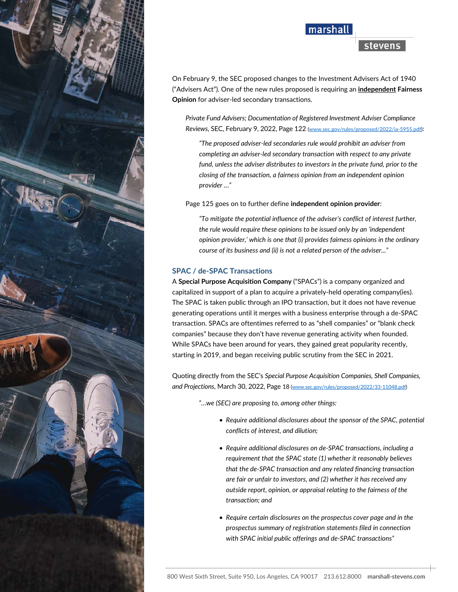

## marshall

## stevens

On February 9, the SEC proposed changes to the Investment Advisers Act of 1940 ("Advisers Act"). One of the new rules proposed is requiring an **independent Fairness Opinion** for adviser-led secondary transactions.

*Private Fund Advisers; Documentation of Registered Investment Adviser Compliance Reviews*, SEC, February 9, 2022, Page 122 (www.sec.gov/rules/proposed/2022/ia-5955.pdf):

*"The proposed adviser-led secondaries rule would prohibit an adviser from completing an adviser-led secondary transaction with respect to any private fund, unless the adviser distributes to investors in the private fund, prior to the closing of the transaction, a fairness opinion from an independent opinion provider …"* 

Page 125 goes on to further define **independent opinion provider**:

*"To mitigate the potential influence of the adviser's conflict of interest further, the rule would require these opinions to be issued only by an 'independent opinion provider,' which is one that (i) provides fairness opinions in the ordinary course of its business and (ii) is not a related person of the adviser..."* 

#### **SPAC / de-SPAC Transactions**

A **Special Purpose Acquisition Company** ("SPACs") is a company organized and capitalized in support of a plan to acquire a privately-held operating company(ies). The SPAC is taken public through an IPO transaction, but it does not have revenue generating operations until it merges with a business enterprise through a de-SPAC transaction. SPACs are oftentimes referred to as "shell companies" or "blank check companies" because they don't have revenue generating activity when founded. While SPACs have been around for years, they gained great popularity recently, starting in 2019, and began receiving public scrutiny from the SEC in 2021.

Quoting directly from the SEC's *Special Purpose Acquisition Companies, Shell Companies, and Projections*, March 30, 2022, Page 18 (www.sec.gov/rules/proposed/2022/33-11048.pdf)

*"…we (SEC) are proposing to, among other things:* 

- *Require additional disclosures about the sponsor of the SPAC, potential conflicts of interest, and dilution;*
- *Require additional disclosures on de-SPAC transactions, including a requirement that the SPAC state (1) whether it reasonably believes that the de-SPAC transaction and any related financing transaction are fair or unfair to investors, and (2) whether it has received any outside report, opinion, or appraisal relating to the fairness of the transaction; and*
- *Require certain disclosures on the prospectus cover page and in the prospectus summary of registration statements filed in connection with SPAC initial public offerings and de-SPAC transactions"*